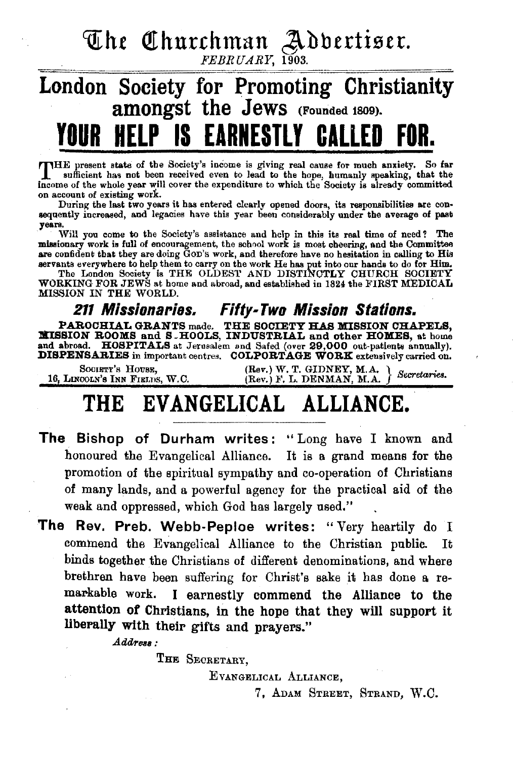The Churchman Advertiser.

FEBRUARY, 1903.

## $\frac{1}{\sqrt{1-\frac{1}{\sqrt{1-\frac{1}{\sqrt{1-\frac{1}{\sqrt{1-\frac{1}{\sqrt{1-\frac{1}{\sqrt{1-\frac{1}{\sqrt{1-\frac{1}{\sqrt{1-\frac{1}{\sqrt{1-\frac{1}{\sqrt{1-\frac{1}{\sqrt{1-\frac{1}{\sqrt{1-\frac{1}{\sqrt{1-\frac{1}{\sqrt{1-\frac{1}{\sqrt{1-\frac{1}{\sqrt{1-\frac{1}{\sqrt{1-\frac{1}{\sqrt{1-\frac{1}{\sqrt{1-\frac{1}{\sqrt{1-\frac{1}{\sqrt{1-\frac{1}{\sqrt{1-\frac{1}{\sqrt{1-\frac{1}{\sqrt{1-\frac{1$ London Society for Promoting Christianity amongst the JeWS (Founded 1809). YOUR HELP IS EARNESTLY CALLED

THE present state of the Society's income is giving real cause for much anxiety. So far<br>sufficient has not been received even to land to the home have all intervals sufficient has not been received even to lead to the hope, humanly speaking, that the income of the whole year will cover the expenditure to which the Society is already committed on account of existing work.<br>During the last two years it has entered clearly opened doors, its responsibilities are con-

sequently increased, and legacies have this year been considerably under the average of past years.

Will you come to the Society's assistance and help in this its real time of need? The missionary work is full of encouragement, the school work is most cheering, and the Committee are confident that they are doing Gon's work, and therefore have no hesitation in calling to His

Servants everywhere to help them to carry on the work He has put into our hands to do for Him.<br>The London Society is THE OLDEST AND DISTINCTLY CHURCH SOCIETY<br>WORKING FOR JEWS at home and abroad, and established in 1824 the

## 211 Missionaries. Fifty-Two Mission Stations.

PAROCHIAL GRANTS made. THE SOCIETY HAS MISSION CHAPELS, llliSSION ROOMS and S .HOOLS, INDUSTRIAL and other HOKES, at home and abroad. HOSPITALS at Jerusalem and Safed (over 29,000 out-patients annually). DISPENSARIES in important centres. COLPORTAGE WORK extensively carried on.

SOOIETT'S HOUSE, (Rev.) W. T. GIDNEY, M.A. } Secretaries.<br>16, LINCOLN'S INN FIELDS, W.C. (Rev.) F. L. DENMAN, M.A. } Secretaries.

# THE EVANGELICAL ALLIANCE.

- The Bishop of Durham writes: "Long have I known and honoured the Evangelical Alliance. It is a grand means for the promotion of the spiritual sympathy and co-operation of Christians of many lands, and a powerful agency for the practical aid of the weak and oppressed, which God has largely used."
- The Rev. Preb. Webb-Peploe writes: "Very heartily do I commend the Evangelical Alliance to the Christian publie.. It binds together the Christians of different denominations, and where brethren have been suffering for Christ's sake it has done a remarkable work. I earnestly commend the Alliance to the attention of Christians, in the hope that they will support it liberally with their gifts and prayers."

Address:

THE SECRETARY,

EVANGELICAL ALLIANCE,

7, ADAM STREET, STRAND, W.C.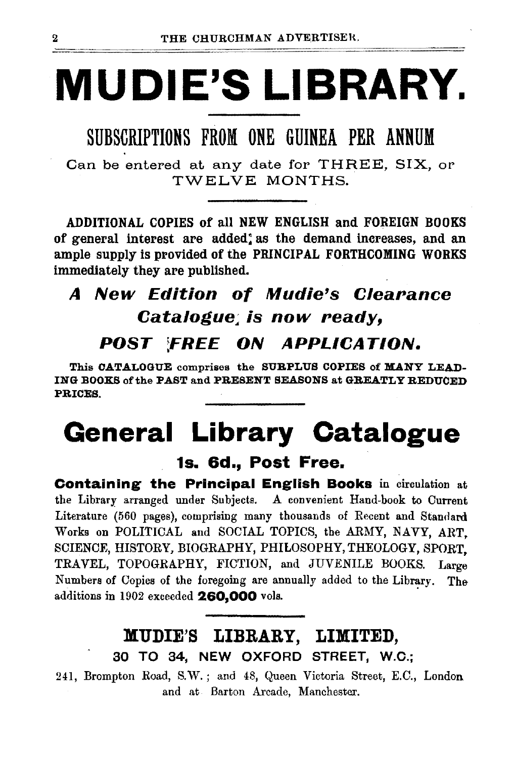# **MUDIE'S LIBRARY.**

## SUBSCRIPTIONS FROM ONE GUINEA PER ANNUM

Can be entered at any date for THREE, SIX, OP TWELVE MONTHS.

ADDITIONAL COPIES of all NEW ENGLISH and FOREIGN BOOKS of general interest are added: as the demand increases, and an ample supply is provided of the PRINCIPAL FORTHCOMING WORKS immediately they are published.

# A New Edition of Mudie's Clearance Catalogue; is now ready,

### *POST* ;FREE *ON APPLICATION.*

This CATALOGUE comprises the SURPLUS COPIES of MANY LEAD-ING BOOKS of the PAST and PRESENT SEASONS at GREATLY REDUCED PRICES.

# **General Library Catalogue**

### 1s. 6d., Post Free.

Containing the Principal English Books in circulation at the Library arranged under Subjects. A convenient Hand-book to Current Literature (560 pages), comprising many thousands of Recent and Standard Works on POLITICAL and SOCIAL TOPICS, the ARMY, NAVY, ART. SCIENCE, HISTORY, BIOGRAPHY, PHILOSOPHY, THEOLOGY, SPORT, TRAVEL, TOPOGRAPHY, FICTION, and JUVENILE BOOKS. Large Numbers of Copies of the foregoing are annually added to the Library. The additions in 1902 exceeded 260,000 vols.

## MUDIE'S LIBRARY, LIMITED, 30 TO 34, NEW OXFORD STREET, W.O.;

241, Brompton Road, S.W.; and 48, Queen Victoria Street, E.C., London and at Barton Arcade, Manchester.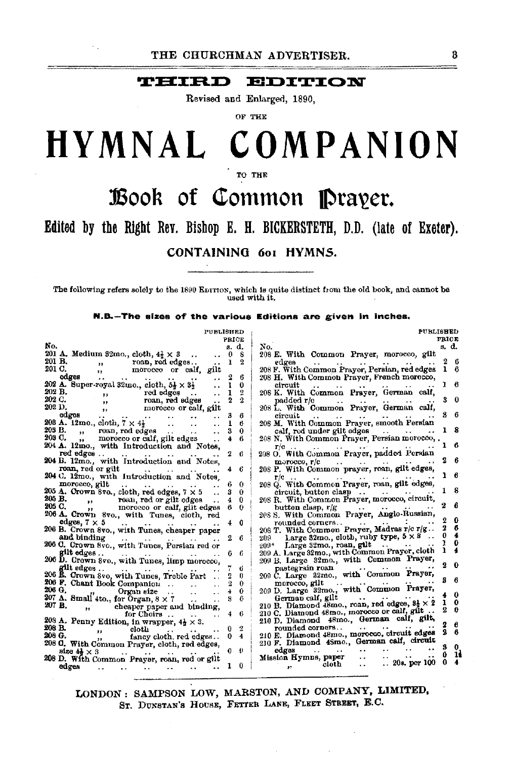### **THIRD EDITION**

Revised and Enlarged, 1890,

OF THE

# HYMNAL COMPANION

TO THE

# Book of Common Prayer.

### Edited by the Right Rev. Bishop E. H. BICKERSTETH, D.D. (late of Exeter).

### CONTAINING 6o1 HYMNS.

The following refers solely to the 1890 EDITION, which is quite distinct from the old book, and cannot be used with it.

N.B.-The sizes of the various Editions are given in inches.

|        | <b>PUBLISHED</b>                                                              | PRICE |                       | <b>PUBLISHED</b>                                                                           | <b>PRICE</b> |          |
|--------|-------------------------------------------------------------------------------|-------|-----------------------|--------------------------------------------------------------------------------------------|--------------|----------|
| No.    |                                                                               | s. d. |                       | No.                                                                                        | s. d.        |          |
|        | 201 A. Medium 32mo., cloth, $4\frac{1}{2} \times 3$                           | 0     | 8                     | 208 E. With Common Prayer, morocco, gilt                                                   |              |          |
| 201 B. | roan, red edges<br>$, \, \cdot$                                               | ı     | 2                     | edges<br>$\cdots$<br>$-$ 100 $-$                                                           |              | 6        |
| 201 C. | morocco or calf, gilt<br>, ,                                                  |       |                       | 208 F. With Common Prayer, Persian, red edges                                              | ı            | -6       |
|        | edges<br>$\ddot{\phantom{0}}$<br>$\sim 10^{-11}$<br>$\sim$ 100 $\sim$         | 2     | 6                     | 208 H. With Common Prayer, French morocco,                                                 |              |          |
|        | 202 A. Super-royal 32mo., cloth, $5\frac{1}{2} \times 3\frac{1}{2}$           | ı     | 0                     | circuit<br>$\ddot{\phantom{0}}$<br>$\ddot{\phantom{1}}$                                    |              | 6        |
| 202 B. | red edges                                                                     | 1     | 2                     | 208 K. With Common Prayer, German calf,                                                    |              |          |
| 202 C. |                                                                               | 2     | 2                     | padded r/c<br>and the state of the state of the state of                                   | 3            | $\bf{0}$ |
| 202 D. | morocco or calf, gilt<br>$\mathbf{z}$                                         |       |                       | 208 L. With Common Prayer, German calf,                                                    |              |          |
|        | edges<br>$\cdots$                                                             | з     | 6                     | circuit<br>$\cdot$ .<br>$\sim$                                                             |              | -6       |
|        | <b>208 A.</b> 12mo., cloth, $7 \times 4$                                      | 1     | В                     | 208 M. With Common Prayer, smooth Persian                                                  |              |          |
| 205 B. | roan, red edges<br>$\mathbf{H}$<br>$\sim$ $\sim$<br>$\ddot{\phantom{1}}$      | 3     | 0                     | calf, red under gilt edges<br><b>Contract Contract</b>                                     | ı            | -8       |
| 203 C. | ,, morocco or calf, gilt edges                                                | 4     | 6                     | 208 N. With Common Prayer, Persian morocco, .                                              |              |          |
|        | 204 A. 12mo., with Introduction and Notes,                                    |       |                       |                                                                                            | ı            |          |
|        | red edges<br>$\cdot$ $\cdot$<br>$\sim$ $\sim$ $\sim$                          | 2     | 6                     | 208 O. With Common Prayer, padded Persian                                                  |              |          |
|        | 204 B. 12mo., with Introduction and Notes,                                    |       |                       | morocco, r/c<br>and the same states.                                                       |              |          |
|        | roan, red or gilt<br>$\rightarrow$                                            |       | -6                    | 208 P. With Common prayer, roan, gilt edges,                                               |              |          |
|        | 204 C. 12mo., with Introduction and Notes,                                    |       |                       | $r/c$                                                                                      | ı            | 6        |
|        | morocco, gilt                                                                 | ü     | 0                     | 208 Q. With Common Prayer, roan, gilt edges,                                               |              |          |
|        | 205 A. Crown 8vo., cloth, red edges, $7 \times 5$                             | з     | 0                     | circuit, button clasp                                                                      |              | 8        |
|        | 205 B.<br>$\bullet$                                                           | 4     | 0                     | 208 R. With Common Prayer, morocco, circuit,                                               |              |          |
|        | roan, red or gilt edges<br>morocco or calf, gilt edges<br>205 C.<br>$\bullet$ | 6     | $\theta$              | button clasp, r/g                                                                          |              | 6        |
|        | 206 A. Crown 8vo., with Tunes, cloth, red                                     |       |                       | 208 S. With Common Prayer, Anglo-Russian,                                                  |              |          |
|        | edges, $7 \times 5$<br>and the second services and the services of            | 4.    | 0                     | rounded corners                                                                            | 2            | 0        |
|        | 206 B. Crown 8vo., with Tunes, cheaper paper                                  |       |                       | 208 T. With Common Prayer, Madras r/c r/g                                                  | 2            | 6        |
|        | and binding<br>the company of the company of the                              | 2     | 6                     | Large 32mo., cloth, ruby type, $5 \times 3$<br>209.                                        | 0            |          |
|        | 206 C. Crown 8vo., with Tunes, Persian red or                                 |       |                       | 209* Large 32mo., roan, gilt                                                               | ı            | 0        |
|        | gilt edges                                                                    |       | 6                     | 209 A. Large 32mo., with Common Prayer, cloth                                              |              |          |
|        | 206 D. Crown 8vo., with Tunes, limp morocco,                                  |       |                       | 209 B. Large 32mo., with Common Prayer,                                                    | 2            |          |
|        | allt edges                                                                    |       | в                     | المعادل ففل<br>pastegrain roan                                                             |              |          |
|        | 206 E. Crown 8vo, with Tunes, Treble Part                                     | 2     | 0                     | 209 C. Large 32mo., with Common Prayer,                                                    |              |          |
|        | 206 F. Chant Book Companion                                                   |       | 0                     | $\mathcal{L}_{\mathbf{A}}$ , and $\mathcal{L}_{\mathbf{A}}$<br>morocco, gilt               |              |          |
| 206 G. | Organ size                                                                    |       | 0                     | 209 D. Large 32mo., with Common Prayer,                                                    |              | 0        |
|        | 207 A. Small 4to., for Organ, $8 \times 7$<br>$\sim$                          |       | 6                     | German calf, gilt<br>$\ddot{\phantom{1}}$                                                  | 1            | $\Omega$ |
|        | 207 B.<br>cheaper paper and binding,<br>$\mathbf{B}^{\text{max}}$             |       |                       | 210 B. Diamond 48mo., roan, red edges, $3\frac{1}{2} \times 2$                             |              | Ð        |
|        | for Choirs<br>$\sim$                                                          |       | 6                     | 210 C. Diamond 48mo., morocco or call, gilt                                                |              |          |
|        | 208 A. Penny Edition, in wrapper, $4\frac{1}{2} \times 3$ .                   |       |                       | 210 D. Diamond 48mo., German calf, gilt,                                                   |              | 6        |
| 208 B. | cloth<br>5.5                                                                  | 0     | 2                     | rounded corners<br>$\mathbf{r}$                                                            | 9.           | 6        |
| 208 G. | fancy cloth, red edges<br>5.5                                                 | 0     | 4                     | 210 E. Diamond 48mo., morocco, circuit edges<br>210 F. Diamond 48mo., German calf, circuit |              |          |
|        | 208 C. With Common Prayer, cloth, red edges,                                  |       |                       |                                                                                            |              | 0        |
|        | $size 44 \times 3$                                                            | 0.    | $\boldsymbol{\theta}$ | edges<br>$\cdots$<br>$\ddot{\phantom{0}}$                                                  |              | 14       |
|        | 208 D. With Common Prayer, roan, red or gilt                                  |       |                       | Mission Hymns, paper<br>20s. per 100<br>cloth<br>$\ddot{\phantom{0}}$                      | o            |          |
|        | edges                                                                         |       | 0                     | $\bullet$                                                                                  |              |          |

LONDON: SAMPSON LOW, MARSTON, AND COMPANY, LIMITED, ST. DUNSTAN'S HOUSE, FETTER LANE, FLEET STREET, E.C.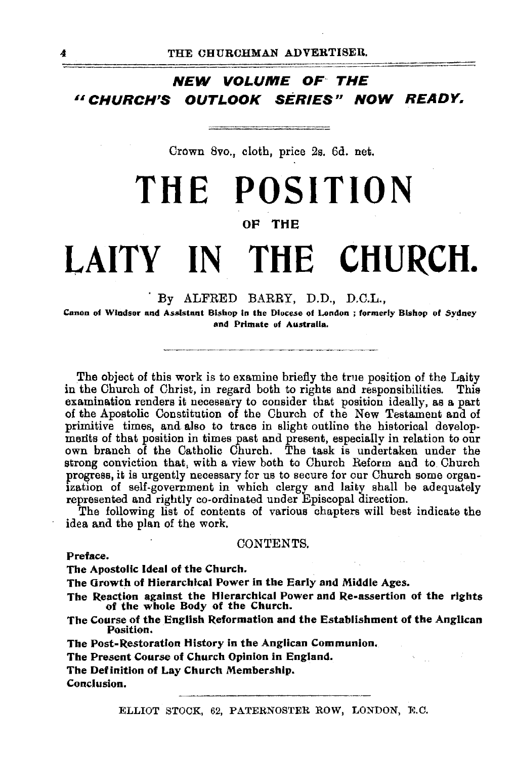### **NEW VOLUME** oF~ **THE**  *<sup>16</sup>***CHURCH,S OUTLOOK SERIES, NOW READY.**

Crown 8vo., cloth, price 2s. 6d. net.

# **THE POSITION**

### OF THE

# **LAITY** IN **THE CHURCH.**

### . By ALFRED BARRY, D.D., D.C.L.,

Canon of Windsor and Assistant Bishop in the Diocese of London ; formerly Bishop of Sydney and Primate of Australia.

The object of this work is to examine briefly the true position of the Laity in the Church of Christ, in regard both to rights and responsibilities. This examination renders it necessary to consider that position ideally, as a part of the Apostolic Constitution of the Church of the New Testament and of primitive times, and also to trace in slight outline the historical develop· ments of that position in times past and present, especially in relation to our own branch of the Catholic Church. The task is undertaken under the strong conviction that, with a view both to Church Reform and to Church progress, it is urgently necessary for us to secure for our Church some organization of self-government in which clergy and laity shall be adequately represented and rightly co-ordinated under Episcopal direction.

The following list of contents of various chapters will best indicate the idea and the plan of the work.

### CONTENTS.

#### Preface.

The Apostolic Ideal of the Church.

The Orowth of Hierarchical Power in the Early and Middle Ages.

The Reaction against the Hierarchical Power and Re-assertion of the rights of the whole Body of the Church.

The Course of the English Reformation and the Establishment of the Anglican Position.

The Post-Restoration History in the Anglican Communion.

The Present Course of Church Opinion in England.

The Definition of Lay Church Membership.

Conclusion.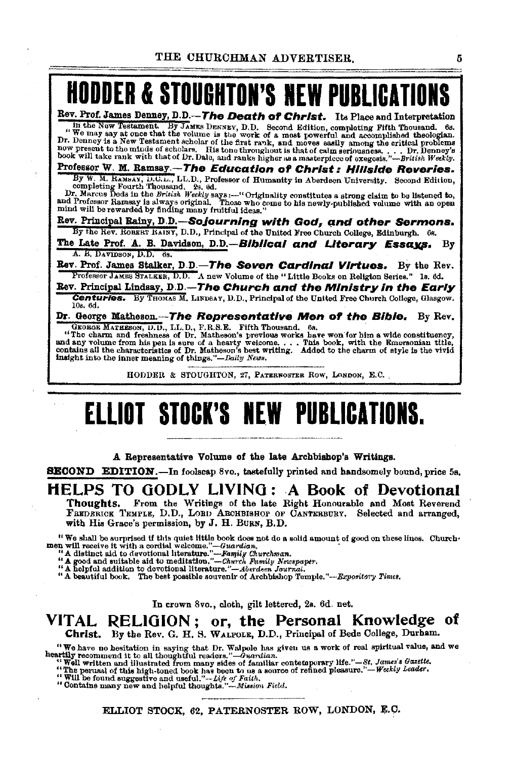# **HODDER & STOUGHTON'S NEW PUBLICATI**

Rev. Prof. James Denney, D.D.-The Death of Christ. Its Place and Interpretation In the New Testament. Hy JAMES DENNEY, D.D. Second Edition, completing Fifth Thousand. 6s. "We may say at once that the volume is the work of a most powerful and a.coomplished theologian. Dr. Denney is a New Testament scholar of the first rank, and moves easily among the critical problems<br>now present to the minds of scholars. His tone throughout is that of calm seriousness. . . . Dr. Denney's<br>book will take

Professor W. M. Ramsay.-The Education or Christ: Hillside Reveries.

By W. M. RAMAN, D.C.L., LL.D., Professor of Humanity in Aberdeen University. Second Edition,<br>completing Fourth Thousand. 2s. 6d.<br>Dr. Marcus Dods in the British Weekly says :-- "Originality constitutes a strong claim to be

Rev. Principal Rainy, D.D.-Sojourning with God, and other Sermons. By the Rev. ROBERT KAINY, D.D., Principal of the United Free Church College, Edinburgh. 6s.

The Late Prof. A. B. Davidson, D.D.-Biblical and Literary Essays. By  $A. B.$  DAVIDSON, D.D. 6s.

Rev. Prof. James Stalker, D.D.-The Seven Cardinal Virtues. By the Rev. Professor JAMES STALKER, D.D. A new Volume of the "Little Books on Religion Series." 1s. 6d.

Rev. Principal Lindsay, D.D.-The Church and the Ministry in the Early **Centuries.** By THOMAS M. LINDSAY, D.D., Principal of the United Free Church College, Glasgow. 108. 6d.

Dr. George Matheson. --The Representative Men of the Bible. By Rev. GEORGE MATHESON, D.D., LL.D., F.R.S.E. Fifth Thousand. 6s.<br>"The charm and freshness of Dr. Matheson's previous works have won for him a wide constituency insight into the inner meaning of things."-Daily News.

HODDER & STOUGHTON, 27, PATERNOSTER ROW, LONDON, E.C.

# **ELLIOT STOCK'S NEW PUBLICATIONS.**

A Representative Volume of the late Archbishop's Writings.

SBOOND EDITION.-In foolscap Svo., tastefully printed and handsomely bound, price 5s,

# HELPS TO GODLY LIVING: A Book of Devotional<br>Thoughts. From the Writings of the late Right Honourable and Most Reverend

FREDERICK TEMPLE, D.D., LORD ARCHBISHOP OF CANTERBURY. Selected and arranged, with His Grace's permission, by J. H. BuRN, B.D.

"We shall be surprised if this quiet little book does not do a solid amount of good on these lines. Churchman,  $m!$  recive it with a cordial welcome."—Family Churchman,<br>"A distinct sid to devotional literature."—Family Ch

In crown Svo., cloth, gilt lettered, 2s. 6d. net.

### VITAL RELIGION ; or, the Personal Knowledge of Christ. By the Rev. G. H. S. WALPOLE, D.D., Principal of Bede College, Durham.

"We have no hesitation in saying that Dr. Walpole has given us a work of real spiritual value, and we heartily recommend it to all thoughtful readers."— $\hat{O}u$ witten and illustrated from many sides of familiar contempora

ELLIOT STOCK, 62, PATERNOSTER ROW, LONDON, E.C.

5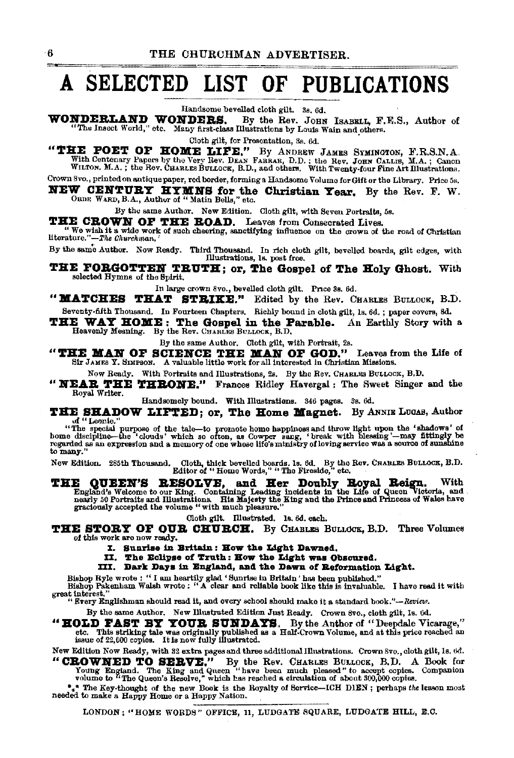# A SELECTED LIST OF PUBLICATIONS

Handsome bevelled cloth gilt. 3a 6d.

WONDERLAND WONDERS. By the Rev. JOHN ISABELL, F.E.S., Author of "The Insect World," otc. Many first-class Illustrations by Louis Wain and others.

Cloth gilt, for Presentation, 3s, 6d.

"THE POET OF HOME LIFE." By ANDREW JAMES SYMINGTON, F.R.S.N.A. With Centenary Papers by the Very Rev. DEAN FARRAR, D.D.; the Rev. JORN CALLIS, M.A.; Canon WILTON. M.A.; the Rev. CHARLES BULLOCK, B.D., and others. With Twen

Crown Svo., printed on antique paper, red border, forming a Handsome Volume for Gift or the Library. Price 5s. **NEW CENTURY HYMNS for the Christian Year.** By the Rev. F. W. ORDE WARD, B.A., Author of "Matin Bells," etc.

By the same Author. New Edition. Cloth gilt, with Seven Portraits, 5s.

THE CROWN OF THE ROAD. Leaves from Consecrated Lives.

By the same Author. Now Ready. Third Thousand. In rich cloth gilt, bevelled boards, gilt edges, with Illustrations, Is. post free.

THE FORGOTTEN TRUTH; or, The Gospel of The Holy Ghost. With selected Hymns of the Spirit.

In large crown 8vo., bevelled cloth gilt. Price 3s. 6d.

"MATCHES THAT STRIKE." Edited by the Rev. CHARLES BULLOCK, B.D. Seventy-fifth Thousand. In Fourteen Chapters. Richly bound in cloth gilt, 1s. 6d.; paper covers, 8d.

THE WAY HOME: The Gospel in the Parable. An Earthly Story with a Heavenly Meaning. By the Rev. CHARLES BULLOCK, B.D.

By the same Author. Cloth gilt, with Portrait, 2s.

"THE MAN OF SCIENCE THE MAN OF GOD." Leaves from the Life of Sir JAMES Y. SIMPSON. A valuable little work for all interested in Christian Missions.

Now Ready. With Portraits and Illustrations, 2s. By the Rev. CHARLES BULLOCK, B.D.

"NEAR THE THRONE." Frances Ridley Havergal : The Sweet Singer and the Royal Writer.

Handsomely bound. With Illustrations. 346 pages. 3s. 6d.

THE SHADOW LIFTED; or, The Home Magnet. By ANNIE LUGAS, Author of "Leonie."

" "Leonie."<br>"The special purpose of the tale-to promote home happiness and throw light upon the 'shadows' of<br>home discipline-the 'clouds' which so often, as Cowper sang, 'break with blessing'--may fittingly be<br>regarded as to many.

Cloth, thick bevelled boards. 1s. 6d. By the Rev. CHABLES BULLOCK, B.D. Editor of "Home Words," "The Fireside," etc. New Edition. 285th Thousand.

THE QUEEN'S RESOLVE, and Her Doubly Royal Reign. With England's Welcome to our King. Containing Leading's and magnity for Portraits and Illustrations. His Majesty the King and the Life of Queen Victoria, and meanly 50 Port

Cloth gilt. Illustrated. 1s. 6d. each.

THE STORY OF OUR CHURCH. By CHARLES BULLOCK, B.D. Three Volumes of this work are now ready.

I. Sunrise in Britain: How the Light Dawned.

II. The Eclipse of Truth: How the Light was Obscured.<br>III. Dark Days in England, and the Dawn of Reformation Light.

Bishop Ryle wrote : "I am heartily glad 'Sunrise in Britain' has been published."<br>Bishop Pakenham Walsh wrote : "A clear and reliable book like this is invaluable. I have read it with<br>great interest."<br>"Svery Englishman sho

By the same Author. New Illustrated Edition Just Ready. Crown 8vo., cloth gilt, 1s. 6d. "HOLD FAST BY YOUR SUNDAYS. By the Author of "Deepdale Vicarage," etc. This striking tale was originally published as a Half-Crown Volume, and at this price reached an issue of 22,000 copies. It is now fully illustrated.

New Edition Now Ready, with 32 extra pages and three additional Illustrations. Crown 8vo., cloth gilt, 1s. 6d. "CROWNED TO SERVE." By the Rev. CHARLES BULLOCK, B.D. A Book for Young England. The King and Queen "have been much pleased" to accept copies. Companion volume to "The Queen's Resolve," which has reached a circulation of ab

 $*$  The Key-thought of the new Book is the Royalty of Service-ICH DIEN; perhaps the lesson most needed to make a Happy Home or a Happy Nation.

LONDON: "HOME WORDS" OFFICE, 11, LUDGATE SQUARE, LUDGATE HILL, E.C.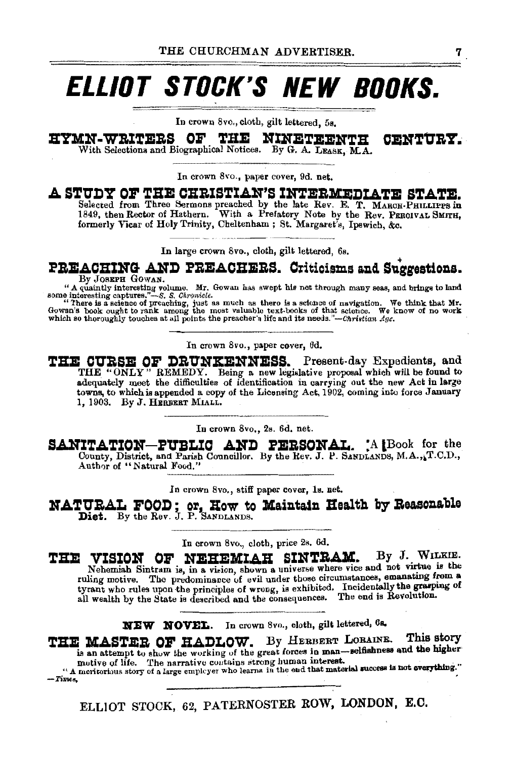# **ELLIOT STOCK'S NEW BOOKS.**

In crown 8vo., cloth, gilt lettered, 5s.

**HYMN-WRITERS OF THE NINETEENTH CENTURY.**<br>With Selections and Biographical Notices. By G. A. LEASK, M.A.

In crown Svo., paper cover, 9d. net.

### A STUDY OF THE CHRISTIAN'S INTERMEDIATE STATE.

Selected from Three Sermons preached by the late Rev. E. T. MAROH-PHILLIPPS in 1849, then Rector of Hathern. With a Prefatory Note by the Rev. PERCIVAL SMITH, formerly Vicar of Holy Trinity, Cheltenham ; St. Margaret's, Ipswich, &c.

In large crown 8vo., cloth, gilt lettered, 6s.<br> **PREACHERS.** Criticisms and Suggestions.<br>
<sup>By JOSEFH GOWAN.</sup><br>
"A quaintly interesting volume. Mr. Gowan has swept his net through many seas, and brings to land

"A quaintly interesting volume. Mr. Gowan has swept his net through many seas, and brings to land<br>some interesting captures."—S. S. Chronicle.<br>"There is a science of navigation. We think that Mr.<br>Gowan's book cught to ran

In crown Svo., paper cover, 6d.

THE CURSE OF DRUNKENNESS. Present-day Expedients, and THE "ONLY" REMEDY. Being a new legislative proposal which will be found to adequately meet the difficulties of identification in carrying out the new Act in large towns, to which is appended a copy of the Licensing Act, 1902, coming into force January 1, 1903. By J. HERBERT MlALL.

In crown 8vo., 2s. 6d. net.

SANITATION-PUBLIC AND PERSONAL. **A lBook for the** County, District, and Parish Councillor. By the Rev. J. P. SANDLANDS, M.A., T.C.D., Author of "Natural Food."

In crown 8vo., stiff paper cover, 1s. net.

**NATURAL FOOD; or, How to Maintain Health by Reasonable Diet.** By the Rev. J. P. SANDLANDS.

In crown 8vo., cloth, price 2s. 6d.

THE VISION OF NEHEMIAH SINTRAM. By J. WILKIE. Nehemiah Sintram is, in a vision, shown a universe where vice and not virtue is the ruling motive. The predominance of evil under those circumstances, emanating from a ruling motive. The predominance of evil under those circumstances, emanating from a<br>tyrant who rules upon the principles of wrong, is exhibited. Incidentally the grasping of<br>all wealth by the State is described and the con

**XBW HOVEL.** In crown 8vo., cloth, gilt lettered, 6a.

**THE MASTER OF HADLOW.** By HERBERT LORAINE. This story is an attempt to show the working of the great forces in man-selfishness and the higher motive of life. The narrative contains strong human interest.

motive of life. The narrative cuntains strong human interest.<br>"A meritorious story of a large employer who learns in the end that material success is not everything."<br>-- Times.

ELLIOT STOCK, 62, PATERNOSTER ROW, LONDON, E.O.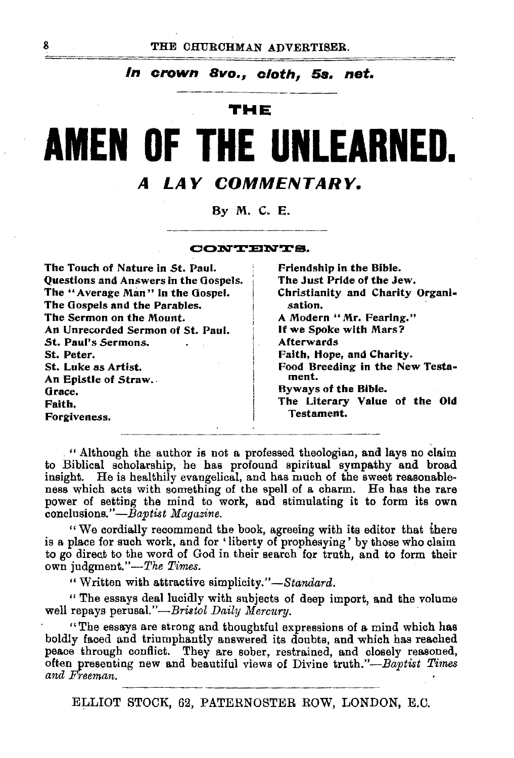### *In* **crown** *Bvo., cloth,* **58. net.**

### **THE**

# **AMEN OF THE UNLEARNED. A LAY COMMENTARY.**

By M. C. E.

CONTENTS.

| The Touch of Nature in St. Paul.      | Friendship in the Bible.         |  |  |
|---------------------------------------|----------------------------------|--|--|
| Questions and Answers in the Gospels. | The Just Pride of the Jew.       |  |  |
| The "Average Man" in the Gospel.      | Christianity and Charity Organi- |  |  |
| The Gospels and the Parables.         | sation.                          |  |  |
| The Sermon on the Mount.              | A Modern "Mr. Fearing."          |  |  |
| An Unrecorded Sermon of St. Paul.     | If we Spoke with Mars?           |  |  |
| St. Paul's Sermons.                   | Afterwards                       |  |  |
| St. Peter.                            | Faith, Hope, and Charity.        |  |  |
| St. Luke as Artist.                   | Food Breeding in the New Testa-  |  |  |
| An Epistle of Straw.                  | ment.                            |  |  |
| Grace.                                | Byways of the Bible.             |  |  |
| Faith.                                | The Literary Value of the Old    |  |  |
| Forgiveness.                          | Testament.                       |  |  |

. " Although the author is not a professed theologian, and lays no claim to Biblical scholarship, he has profound spiritual sympathy and broad insight. He is healthily evangelical, and has much of the sweet reasonableness which acts with something of the spell of a charm. He has the rare power of setting the mind to work, and stimulating it to form its own conclusions."-Baptist *Magazine.* 

" We cordially recommend the hook, agreeing with its editor that there is a place for such work, and for ' liberty of prophesying' by those who claim to go direct to the word of God in their search for truth, and to form their own judgment."-The Times.

"Written with attractive *simplicity."-Standard.* 

" The essays deal lucidly with subjects of deep import, and the volume well repays perusal."-Bristol Daily Mercury.

"The essays are strong and thoughtful expressions of a mind which has boldly faced and triumphantly answered its doubts, and which has reached peace through conflict. They are sober, restrained, and closely reasoned, often presenting new and beautiful views of Divine truth."-Baptist *Times and Freeman.* 

ELLIOT STOCK, 62, PATERNOSTER ROW, LONDON, E.C.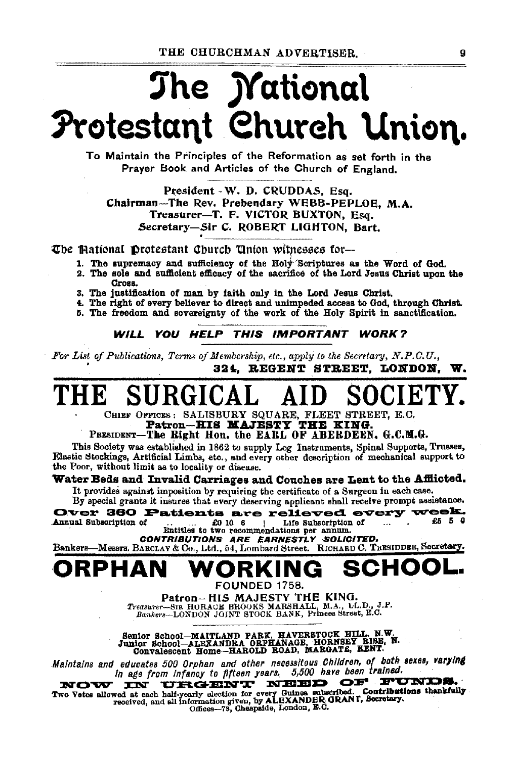# The *Mational* Protestant Church Union.

To Maintain the Principles of the Reformation as set forth in the Praver Book and Articles of the Church of England.

President - W. D. CRUDDAS, Esq. Chairman-The Rev. Prebendary WEBB-PEPLOE. M.A. Treasurer-T. F. VICTOR BUXTON, Esq. Secretary-Sir C. ROBERT LIGHTON, Bart.

The Mational Protestant Church Union witnesses for-

- 1. The supremacy and sufficiency of the Holy Scriptures as the Word of God.
- 2. The sole and sufficient efficacy of the sacrifice of the Lord Jesus Christ upon the Cross.
- 3. The justification of man by faith only in the Lord Jesus Christ.
- 4. The right of every believer to direct and unimpeded access to God, through Christ.
- 5. The freedom and sovereignty of the work of the Holy Spirit in sanctification.

#### WILL YOU HELP THIS IMPORTANT WORK?

For List of Publications, Terms of Membership, etc., apply to the Secretary, N.P.O.U., 324. REGENT STREET. LONDON.

CHIEF OFFICES: SALISBURY SQUARE, FLEET STREET, E.C.<br>Patron-HIS MAJESTY THE KING.

### PRESIDENT-The Right Hon, the EARL OF ABERDEEN, G.C.M.G.

This Society was established in 1862 to supply Leg Instruments, Spinal Supports, Trusses, Elastic Stockings, Artificial Limbs, etc., and every other description of mechanical support to the Poor, without limit as to locality or disease.

#### Water Beds and Invalid Carriages and Couches are Lent to the Afflicted.

It provides against imposition by requiring the certificate of a Surgeon in each case. By special grants it insures that every deserving applicant shall receive prompt assistance.

Over 360 Patients are relieved every week. Annual Subscription of Life Subscription of £5 5 0 £0 10 6  $\mathbf{1}$  $\mathbf{r}$ Entitles to two recommendations per annum.

CONTRIBUTIONS ARE EARNESTLY SOLICITED.

Bankers-Messrs. BARCLAY & Co., Ltd., 54, Lombard Street. RICHARD C. TRESIDDER, Secretary.

### PHAN FOUNDED 1758.

Patron-HIS MAJESTY THE KING.<br>Treasurer-SIR HORACE BROOKS MARSHALL, M.A., LL.D., J.P.<br>Bankers-LONDON JOINT STOCK BANK, Princes Street, E.C.

Senior School-MAITLAND PARK, HAVERSTOCK HILL, N.W.<br>Junior School-ALEXANDRA ORPHANAGE, HORNSEY BISE, N.<br>Convalescent Home-HAROLD ROAD, MARGATE, KENT.

Maintains and educates 500 Orphan and other necessitous Children, of both sexes, varying In age from infancy to fifteen years, 5,500 have been trained.

URGENT NEED OF FUNDS. NOW **IN** Two Vetes allowed at each half-yearly election for every Guinea subscribed. Contributions thankfully<br>received, and all information given, by ALEXANDER GRANT, Secretary.<br>Offices-79, Cheapaide, London, E.C.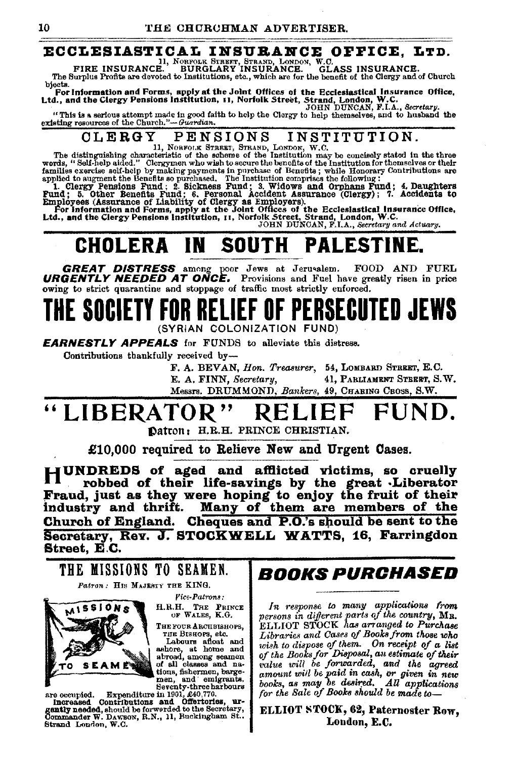### ECCLESIASTICAL INSURANCE OFFICE, LTD.

11, NORFOLK STREET, STRAND, LONDON, W.C.<br>FIRE INSURANCE. BURGLARY INSURANCE. GL. **GLASS INSURANCE.** 

The Surplus Profits are devoted to Institutions, etc., which are for the benefit of the Clergy and of Church bjects.

byes.<br>For Information and Forms, apply at the Johnt Offices of the Ecclesiastical Insurance Office,<br>Ltd., and the Clergy Pensions Institution, 11, Norfolk Street, Strand, London, W.C.<br>JOHN DUNCAN, F.I.A., Secretary,

"This is a serious attempt made in good faith to help the Clorgy to help themselves, and to husband the existing resources of the Church."-Guardian.

#### **CLERGY** PENSIONS INSTITUTION.

ULENCE IN SIUMBLE IN STREET, STARBORT IN STITUTE OF THE distinguishing characteristic of the scheme of the Institution may be concisely stated in the three words, "Salf-help aided." Clergymen who wish to score the benefit

## **CHOLERA IN SOUTH PALESTINE.**

**GREAT DISTRESS** among poor Jews at Jerusalem. FOOD AND FUEL **URGENTLY NEEDED AT ONCE.** Provisions and Fuel have greatly risen in price owing to strict quarantine and stoppage of traffic most strictly enforced.

## E SOCIETY FOR RELIEF OF PERSECUTED JEWS (SYRIAN COLONIZATION FUND)

**EARNESTLY APPEALS** for FUNDS to alleviate this distress.

Contributions thankfully received by-

F. A. BEVAN, Hon. Treasurer, 54, LOMBARD STREET, E.C. 41. PARLIAMENT STEERT, S.W. E. A. FINN, Secretary, Messrs. DRUMMOND, Bankers, 49, CHARING CROSS, S.W.

### LIBERATOR" KEI

Datron: H.R.H. PRINCE CHRISTIAN.

£10,000 required to Relieve New and Urgent Cases.

HUNDREDS of aged and afflicted victims, so cruelly robbed of their life-savings by the great Liberator Fraud, just as they were hoping to enjoy the fruit of their industry and thrift. Many of them are members of the Church of England. Cheques and P.O.'s should be sent to the Secretary, Rev. J. STOCKWELL WATTS, 16, Farringdon Street. E.C.







H.R.H. THE PRINCE OF WALES, K.G.

THE FOUR ARCHBISHOPS,

THE BISHOPS, etc.<br>Labours afloat and<br>ashore, at home and<br>abroad, among seamen of all classes and nations, fishermen, barge-

stress compared. Expenditure in 1901, and emigrants.<br>
Seventy-three harbours<br>
Increased Contributions and Offertories, urgently needed, should be forwarded to the Secretary,<br>
Strand London. W. O. Strand London, W.C.

### *BOOKS PURCHASED*

In response to many applications from persons in different parts of the country, MR.<br>ELLIOT STOCK has arranged to Purchase Libraries and Cases of Books from those who wish to dispose of them. On receipt of a list<br>of the Books for Disposal, an estimate of their value will be forwarded, and the agreed canount will be paid in cash, or given in new<br>books, as may be desired. All applications<br>for the Sale of Books should be made to-

ELLIOT STOCK, 62, Paternoster Row, London, E.C.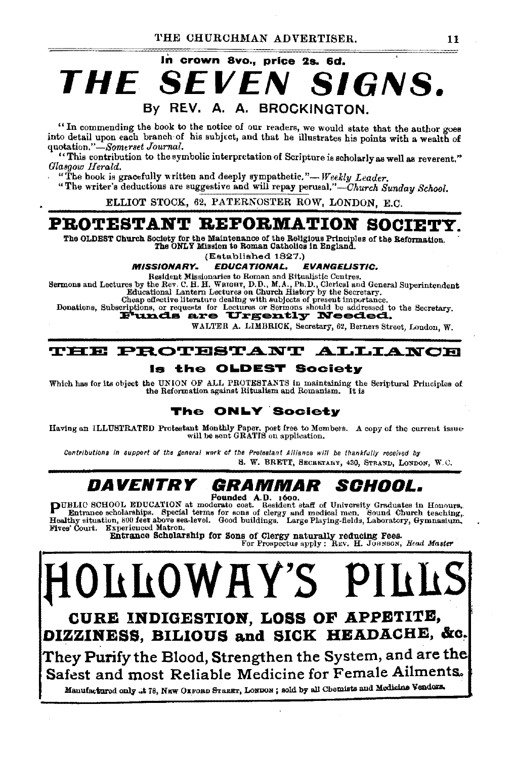### In crown 8vo., price 2s. 6d. THE SFV SIGNS. By REV. A. A. BROCKINGTON.

"In commending the book to the notice of our readers, we would state that the author goes into detail upon each branch of his subject, and that he illustrates his points with a wealth of quotation."—Somerset Journal.

"This contribution to the symbolic interpretation of Scripture is scholarly as well as reverent." Glasgow Herald.

"The book is gracefully written and deeply sympathetic."-Weekly Leader.

"The writer's deductions are suggestive and will repay perusal."—Church Sunday School.

ELLIOT STOCK, 62, PATERNOSTER ROW, LONDON, E.C.

### PROTESTANT REFORMATION SOCIET

The OLDEST Church Society for the Maintenance of the Religious Principles of the Reformation.<br>The ONLY Mission to Roman Catholics in England.

(Established 1827.)

#### **MISSIONARY** EDUCATIONAL. **EVANGELISTIC.**

Resident Missionaries to Roman and Ritualistic Centres.

Sermons and Lectures by the Rev. C. H. H. WRIGHT, D.D., M.A., Ph.D., Clerical and General Superintendent Educational Lantern Lectures on Church History by the Secretary.

Cheap effective literature dealing with subjects of present importance.

Donations, Subscriptions, or requests for Lectures or Sermons should be addressed to the Secretary.<br>Funds are Urgently Needed.

WALTER A. LIMBRICK, Secretary, 62, Berners Street, London, W.

#### **THE PROTESTANT ALLIANCE**

#### is the OLDEST Societv

Which has for its object the UNION OF ALL PROTESTANTS in maintaining the Scriptural Principles of the Reformation against Ritualism and Romanism. It is

### The ONLY Society

Having an ILLUSTRATED Protestant Monthly Paper, post free to Members. A copy of the current issue will be sent GRATIS on application.

Contributions in support of the general work of the Protestant Alliance will be thankfully received by S. W. BRETT, SECRETARY, 430, STRAND, LONDON, W.C.

#### *DAVENTRY* GRAMMAR SCHOOL.

Founded A.D. 1600.

PUBLIC SCHOOL EDUCATION at moderate cost. Resident staff of University Graduates in Honours.<br>Entrance scholarships. Special terms for sons of clergy and medical men. Sound Church teaching,<br>Healthy situation, 800 feet above Fives' Court. Experienced Matron.

Entrance Scholarship for Sons of Clergy naturally reducing Fees. For Prospectus apply : REV. H. JOHNSON, Head Master

**LOWAY'S** CURE INDIGESTION, LOSS OF APPETITE, DIZZINESS, BILIOUS and SICK HEADACHE, &c.

They Purify the Blood, Strengthen the System, and are the Safest and most Reliable Medicine for Female Ailments.

Manufactured only .t 78, NEW OXFORD STREET, LONDON; sold by all Chemists and Medicine Vendors.